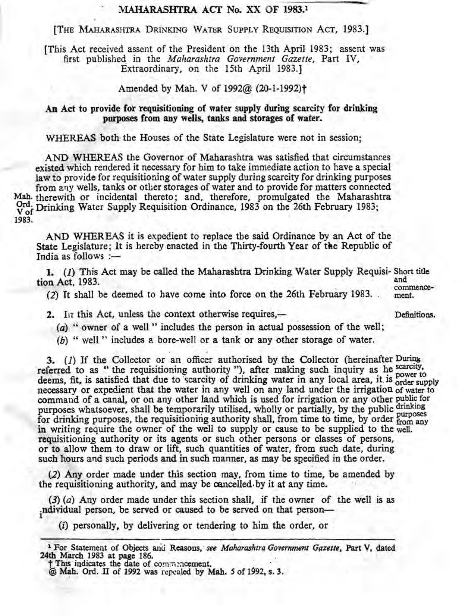## MAHARASHTRA ACT No. XX OF 1983.<sup>1</sup>

[THE MAHARASHTRA DRINKING WATER SUPPLY REQUISITION ACT, 1983.]

[This Act received assent of the President on the 13th April 1983; assent was , first published, in the *Maharashtra Government Gazette,* Part IV, Extraordinary, on the 15th April 1983.]

Amended by Mah. V of 1992@ (20-1-1992)<sup>+</sup>

## An Act to provide for requisitioning of water supply during scarcity for drinking purposes from any wells, tanks and storages of water.

WHEREAS both the Houses of the State Legislature were not in session;

AND WHEREAS the Governor of Maharashtra was satisfied that circumstances existed which rendered it necessary for him to take immediate action to have a special law *to* provide for requisitioning of water supplyduringscarcity for drinking purposes from any wells, tanks or other storages of water and to provide for matters connected Mah. therewith or incidental thereto; and, therefore, promulgated the Maharashtra Ord. Drinking Water Supply Requisition Ordinance, 1983 on the 26th February 1983; 1983.

AND WHER BAS it is expedient to replace tbe said Ordinance by an Act of tbe State Legislature; It is hereby enacted in the Thirty-fourth Year of the Republic of India as follows  $:=$ 

1. (1) This Act may be called the Maharashtra Drinking Water Supply Requisi- Short title<br>and<br>and tion Act, 1983. and commence-

 $, 1, 0, \ldots$  . The company of the  $f_{\text{error}}$  and  $f_{\text{error}}$  is  $f_{\text{error}}$  1002 (2) It shall be deemed to have come into force on the 26th February 1983.  $\ldots$  ment.

2. In this Act, unless the context otherwise requires.— **Example 19. 12. 12. 12. 12. 12. 22.** Definitions.

, ' , ,

 $(a)$ , " owner of a well" includes the person in actual possession of the well;

*(b)* " well " includes a bore-well or a tank or any other storage of water.

3. (1) If the Collector or an officer authorised by the Collector (hereinafter During referred to as "the requisitioning authority"), after making such inquiry as he scarcity, referred to as "the requisitioning authority"); after making such inquiry as he power to deems, fit, is satisfied that due to scarcity of drinking water in any local area, it is order supply necessary or expedient that the water in any well on any land under the irrigation of water to command of a canal, or on any other land which is used for irrigation or any other public for purposes whatsoever, shall be temporarily utilised, wholly or partially, by the public drinking purposes whatsoever, share demporarily unised, wholey or partially, by the public purposes<br>for drinking purposes, the requisitioning authority shall, from time to time, by order from any<br>in writing require the owner of the requisitioning authority or its agents or such other persons or classes of persons,' or to allow them to draw or lift, such quantities of water, from such date, during such hours and such periods and in such manner, as may be specified in the order.

 $(2)$  Any order made under this section may, from time to time, be amended by the requisitioning authority, and may be cancelled by it at any time.

(3) *(a)* Any order made under this section shaU, if the owner of the Well is as ndividual person, be served or caused to be served on that person—

(*i*) personally, by delivering or tendering to him the order, or

 $\dagger$  This indicates the date of commencement.

<sup>&</sup>lt;sup>1</sup> For Statement of Objects and Reasons, *see Maharashtra Government Gazette*, Part V, dated 24th March 1983 at page 186.

<sup>@</sup> Mah. Ord. II of 1992 was repealed by Mah. 5 of 1992, s. 3.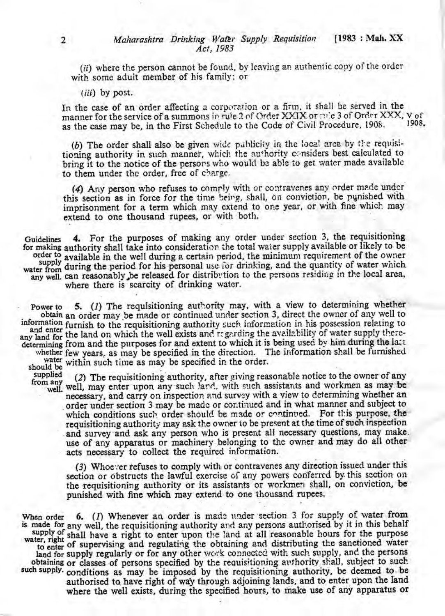(ii) where the person cannot be found, by leaving an authentic copy of the order with some adult member of his family; or

(*iii*) by post.

In the case of an order affecting a corporation or a firm, it shall be served in the manner for the service of a summons in rule 2 of Order XXIX or rule 3 of Order XXX, V of 1908. as the case may be, in the First Schedule to the Code of Civil Procedure, 1908.

(b) The order shall also be given wide publicity in the local area by the requisitioning authority in such manner, which the authority considers best calculated to bring it to the notice of the persons who would be able to get water made available to them under the order, free of charge.

(4) Any person who refuses to comply with or contravenes any order made under this section as in force for the time being, shall, on conviction, be punished with imprisonment for a term which may extend to one year, or with fine which may extend to one thousand rupees, or with both.

4. For the purposes of making any order under section 3, the requisitioning Guidelines for making authority shall take into consideration the total water supply available or likely to be order to available in the well during a certain period, the minimum requirement of the owner<br>supply during the pariod for his personal use for drinking, and the quantity of water which water from during the period for his personal use for drinking, and the quantity of water which any well, can reasonably be released for distribution to the persons residing in the local area, where there is scarcity of drinking water.

5. (1) The requisitioning authority may, with a view to determining whether Power to obtain an order may be made or continued under section 3, direct the owner of any well to information furnish to the requisitioning authority such information in his possession relating to and enter runner to the requisitioning authority seek information in the power supply there-<br>any land for the land on which the well exists and regarding the availability of water supply theredetermining from and the purposes for and extent to which it is being used by him during the latt whether few years, as may be specified in the direction. The information shall be furnished

should be supplied

water within such time as may be specified in the order.

(2) The requisitioning authority, after giving reasonable notice to the owner of any from any well, may enter upon any such land, with such assistants and workmen as may be necessary, and carry on inspection and survey with a view to determining whether an order under section 3 may be made or continued and in what manner and subject to which conditions such order should be made or continued. For this purpose, the requisitioning authority may ask the owner to be present at the time of such inspection and survey and ask any person who is present all necessary questions, may make. use of any apparatus or machinery belonging to the owner and may do all other acts necessary to collect the required information.

(3) Whoever refuses to comply with or contravenes any direction issued under this section or obstructs the lawful exercise of any powers conferred by this section on the requisitioning authority or its assistants or workmen shall, on conviction, be punished with fine which may extend to one thousand rupees.

When order  $6.$  (1) Whenever an order is made under section 3 for supply of water from is made for any well, the requisitioning authority and any persons authorised by it in this behalf supply of shall have a right to enter upon the land at all reasonable hours for the purpose water, right of supportion and regulation the obtaining and distributing the sanctioned water to enter of supervising and regulating the obtaining and distributing the sanctioned water land for supply regularly or for any other work connected with such supply, and the persons obtaining or classes of persons specified by the requisitioning authority shall, subject to such such supply. conditions as may be imposed by the requisitioning authority, be deemed to be authorised to have right of way through adjoining lands, and to enter upon the land where the well exists, during the specified hours, to make use of any apparatus or

 $\overline{2}$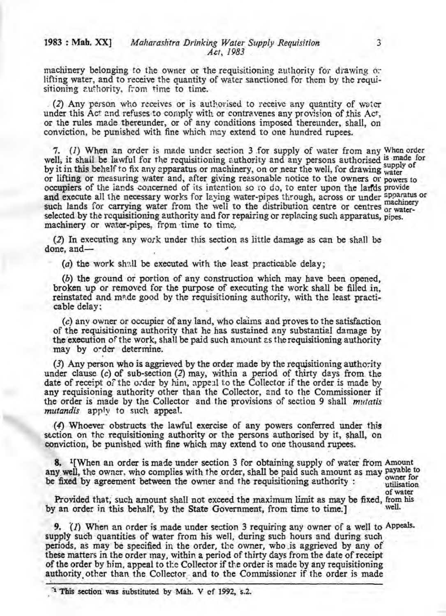machinery belonging to the owner or the requisitioning authority for drawing or lifting water, and to receive the quantity of water sanctioned for them by the requisitioning authority, from time to time.

(2) Any person who receives or is authorised to receive any quantity of water under this Act and refuses to comply with or contravenes any provision of this Act, or the rules made thereunder, or of any conditions imposed thereunder, shall, on conviction, be punished with fine which may extend to one hundred rupees.

7. (1) When an order is made under section 3 for supply of water from any When order well, it shall be lawful for the requisitioning authority and any persons authorised is made for<br>by it in this behalf to fix any apparatus or machinery on or pear the well for drawing supply of by it in this behalf to fix any apparatus or machinery, on or near the well, for drawing water or lifting or measuring water and, after giving reasonable notice to the owners or powers to occupiers of the lands concerned of its intention so to do, to enter upon the lands provide and execute all the necessary works for laying water-pipes through, across or under apparatus or<br>such lands for carrying water from the well to the distribution centre or centres or waterselected by the requisitioning authority and for repairing or replacing such apparatus, pipes. machinery or water-pipes, from time to time,

(2) In executing any work under this section as little damage as can be shall be done, and-

(a) the work shall be executed with the least practicable delay;

(b) the ground or portion of any construction which may have been opened, broken up or removed for the purpose of executing the work shall be filled in, reinstated and made good by the requisitioning authority, with the least practicable delay:

(c) any owner or occupier of any land, who claims and proves to the satisfaction of the requisitioning authority that he has sustained any substantial damage by the execution of the work, shall be paid such amount as the requisitioning authority may by order determine.

(3) Any person who is aggrieved by the order made by the requisitioning authority under clause (c) of sub-section (2) may, within a period of thirty days from the date of receipt of the order by him, appeal to the Collector if the order is made by any requisioning authority other than the Collector, and to the Commissioner if the order is made by the Collector and the provisions of section 9 shall *mutatis* mutandis apply to such appeal.

(4) Whoever obstructs the lawful exercise of any powers conferred under this section on the requisitioning authority or the persons authorised by it, shall, on conviction, be punished with fine which may extend to one thousand rupees.

8. <sup>1</sup>[When an order is made under section 3 for obtaining supply of water from Amount any well, the owner, who complies with the order, shall be paid such amount as may payable to be fixed by agreement between the owner and the requisitioning authority:

owner for utilisation of water

Provided that, such amount shall not exceed the maximum limit as may be fixed, from his by an order in this behalf, by the State Government, from time to time.] well.

9. (1) When an order is made under section 3 requiring any owner of a well to Appeals. supply such quantities of water from his well, during such hours and during such periods, as may be specified in the order, the owner, who is aggrieved by any of these matters in the order may, within a period of thirty days from the date of receipt of the order by him, appeal to the Collector if the order is made by any requisitioning authority other than the Collector and to the Commissioner if the order is made

<sup>1</sup> This section was substituted by Mah. V of 1992, s.2.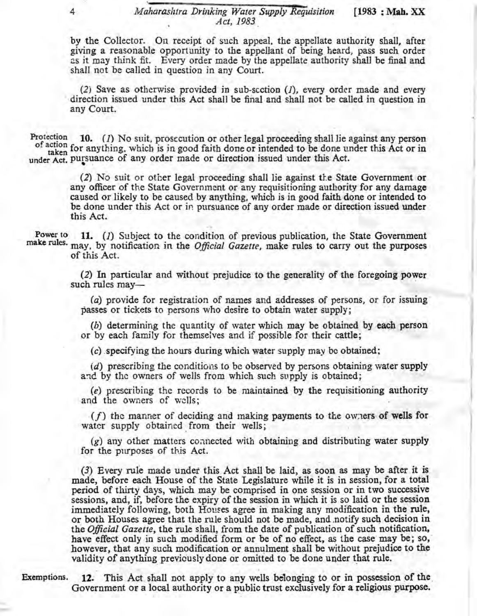by the Collector. On receipt of such appeal. the appellate authority shall, after giving a reasonable opportunity to the appellant of being heard, pass such order as it may think fit. Every order made by the appellate authority shall be final and shall not be called in question in any Court.

 $(2)$  Save as otherwise provided in sub-section  $(1)$ , every order made and every direction issued under this Act shall be final and shall not be called in question in any Court.

of action for anything, which is in good faith done or intended to be done under this Act or in<br>taken for anything, which is in good faith done or intended to be done under this Act or in under Act. pursuance of any order made or direction issued under this Act.

> (2) No suit or other legal proceeding shall lie against the State Government or any officer of the State Government or any requisitioning authority for any damage caused or likely to be caused by anything, which is in good faith done or intended to be done under this Act or in pursuance of any order made or direction issued under this Act.

Power to **11.** (*I*) Subject to the condition of previous publication, the State Government make rules. may, by notification in the *Official Gazette*, make rules to carry out the purposes of this Act.

(2) In particular and without prejudice to the generality of the foregoing power such rules may-

*(a)* provide for registration of names and addresses of persons, or for issuing' passes or tickets to persons who desire to obtain water supply;

(b) determining the quantity of water which may be obtained by each person or by each family for themselves and if possible for their cattle;

*(c)* specifying the hours during which water supply may be obtaiued;

*(d)* prescribing the conditions to be observed by persons obtaining water supply and by the owners of wells from which such supply is obtained;

 $(e)$  prescribing the records to be maintained by the requisitioning authority and the owners of wdls;

 $(f)$  the manner of deciding and making payments to the owners of wells for water supply obtained from their wells;

 $(g)$  any other matters connected with obtaining and distributing water supply for the purposes of this Act.

(3) Every rule made under this. Act shall be laid, as soon as may be after it is made, before each House of the State Legislature while it is in session, for a total period of thirty days, which may be comprised in one session or in two successive sessions, and, if, before the expiry of the session in which it is so laid or the session immediately following, both Houses agree in making any modification in the rule, or both Houses agree that the rule should not be made, and notify such decision in the *Official Gazette*, the rule shall, from the date of publication of such notification, have effect only in such modified form or be of no effect, as the case may be; so, however, that any such modification or annulment shall be without prejudice to the validity of anything previously done or omitted to be done under that rule.

, and the contract of the contract of the contract of the contract of the contract of the contract of the contract of the contract of the contract of the contract of the contract of the contract of the contract of the con

Exemptions. 12. This Act shall not apply to any wells belonging to or in possession of the Government or a local authority or a public trust exclusively for a religious purpose.